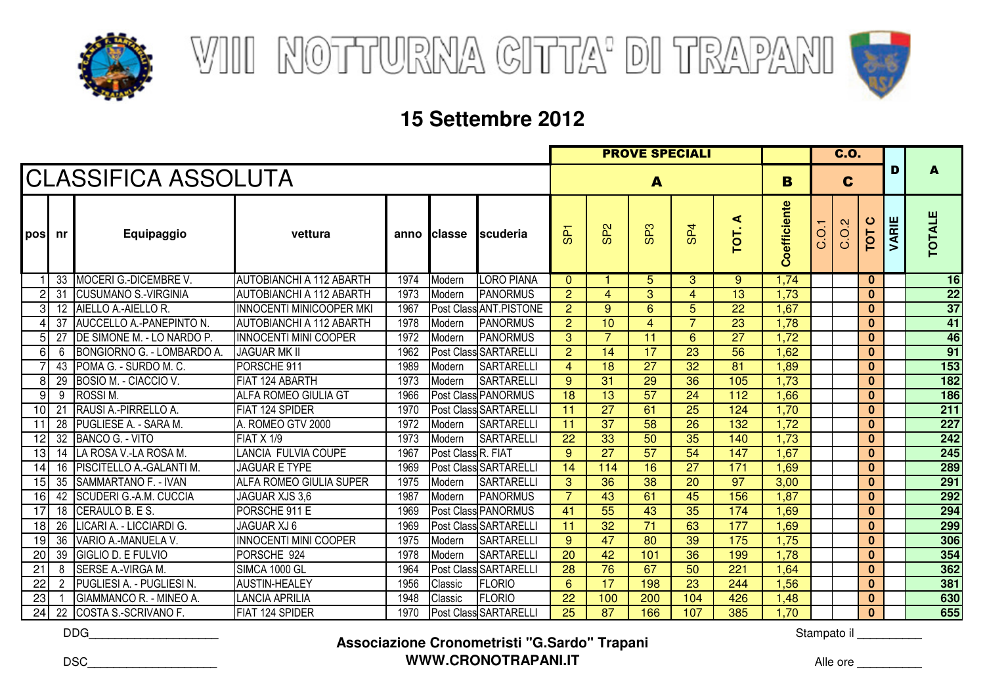



|                 |                 |                                  |                                 |      |                    |                              |                 |                 |                 | <b>C.O.</b>     |                 |                        |                |                |              |       |                 |
|-----------------|-----------------|----------------------------------|---------------------------------|------|--------------------|------------------------------|-----------------|-----------------|-----------------|-----------------|-----------------|------------------------|----------------|----------------|--------------|-------|-----------------|
|                 |                 | <b>CLASSIFICA ASSOLUTA</b>       |                                 |      |                    |                              |                 | B               |                 | C               |                 | D                      | A              |                |              |       |                 |
| <b>pos</b>      | nr              | Equipaggio                       | vettura                         |      | anno Iclasse       | Iscuderia                    | ႕               | SP <sub>2</sub> | SP <sub>3</sub> | SP <sub>4</sub> | ⋖<br>TOT.       | oefficiente<br>$\circ$ | $\overline{O}$ | 0.2<br>$\circ$ | ပ<br>TOT     | VARIE | <b>TOTALE</b>   |
|                 | 33              | MOCERI G.-DICEMBRE V.            | <b>AUTOBIANCHI A 112 ABARTH</b> | 1974 | Modern             | <b>LORO PIANA</b>            | $\mathbf{0}$    |                 | 5               | 3               | 9               | 1,74                   |                |                | $\bf{0}$     |       | 16              |
| $\overline{c}$  | 31              | <b>CUSUMANO S.-VIRGINIA</b>      | AUTOBIANCHI A 112 ABARTH        | 1973 | Modern             | <b>PANORMUS</b>              | $\overline{2}$  | 4               | 3               | 4               | 13              | 1,73                   |                |                | $\bf{0}$     |       | $\frac{22}{37}$ |
| 3               | 12 <sup>°</sup> | AIELLO A.-AIELLO R.              | <b>INNOCENTI MINICOOPER MKI</b> | 1967 |                    | Post Class ANT.PISTONE       | $\overline{2}$  | 9               | 6               | 5               | 22              | 1,67                   |                |                | $\bf{0}$     |       |                 |
| 4               | 37              | AUCCELLO A.-PANEPINTO N.         | <b>AUTOBIANCHI A 112 ABARTH</b> | 1978 | Modern             | <b>PANORMUS</b>              | $\overline{2}$  | 10              | $\overline{4}$  | $\overline{7}$  | $\overline{23}$ | 1,78                   |                |                | $\bf{0}$     |       | 41              |
| 5               | 27              | DE SIMONE M. - LO NARDO P.       | <b>INNOCENTI MINI COOPER</b>    | 1972 | Modern             | <b>PANORMUS</b>              | 3               | 7               | 11              | 6               | 27              | 1,72                   |                |                | $\bf{0}$     |       | 46              |
| 6               | 6               | <b>BONGIORNO G. - LOMBARDO A</b> | <b>JAGUAR MK II</b>             | 1962 |                    | Post Class SARTARELLI        | $\overline{2}$  | 14              | 17              | 23              | 56              | 1,62                   |                |                | $\bf{0}$     |       | 91              |
|                 | 43              | POMA G. - SURDO M. C.            | PORSCHE 911                     | 1989 | Modern             | <b>SARTARELLI</b>            | $\overline{4}$  | 18              | $\overline{27}$ | 32              | 81              | 1,89                   |                |                | $\bf{0}$     |       | 153             |
| 8               | 29              | BOSIO M. - CIACCIO V.            | FIAT 124 ABARTH                 | 1973 | Modern             | <b>SARTARELLI</b>            | 9               | 31              | 29              | 36              | 105             | 1,73                   |                |                | $\bf{0}$     |       | 182             |
| 9               | 9               | <b>ROSSIM.</b>                   | <b>ALFA ROMEO GIULIA GT</b>     | 1966 |                    | <b>Post Class PANORMUS</b>   | 18              | 13              | 57              | 24              | 112             | 1,66                   |                |                | $\bf{0}$     |       | 186             |
| 10              | 21              | RAUSI A.-PIRRELLO A.             | <b>FIAT 124 SPIDER</b>          | 1970 |                    | <b>Post Class SARTARELLI</b> | 11              | $\overline{27}$ | 61              | $\overline{25}$ | 124             | 1,70                   |                |                | $\mathbf{0}$ |       | 211             |
| $\overline{11}$ | 28              | PUGLIESE A. - SARA M.            | A. ROMEO GTV 2000               | 1972 | Modern             | <b>SARTARELLI</b>            | 11              | $\overline{37}$ | 58              | $\overline{26}$ | 132             | 1,72                   |                |                | $\bf{0}$     |       | 227             |
| 12              | 32              | <b>BANCO G. - VITO</b>           | FIAT X 1/9                      | 1973 | Modern             | <b>SARTARELLI</b>            | 22              | 33              | 50              | $\overline{35}$ | 140             | 1,73                   |                |                | $\bf{0}$     |       | 242             |
| 13              | 14              | LA ROSA V.-LA ROSA M.            | <b>LANCIA FULVIA COUPE</b>      | 1967 | Post Class R. FIAT |                              | 9               | $\overline{27}$ | $\overline{57}$ | $\overline{54}$ | 147             | 1,67                   |                |                | $\bf{0}$     |       | 245             |
| 14              | 16              | PISCITELLO A.-GALANTI M.         | <b>JAGUAR E TYPE</b>            | 1969 |                    | <b>Post Class SARTARELLI</b> | 14              | 114             | 16              | $\overline{27}$ | 171             | 1,69                   |                |                | $\mathbf{0}$ |       | 289             |
| 15              | 35              | SAMMARTANO F. - IVAN             | ALFA ROMEO GIULIA SUPER         | 1975 | Modern             | <b>SARTARELLI</b>            | 3               | $\overline{36}$ | 38              | $\overline{20}$ | $\overline{97}$ | 3,00                   |                |                | $\bf{0}$     |       | 291             |
| 16              | 42              | SCUDERI G.-A.M. CUCCIA           | <b>JAGUAR XJS 3.6</b>           | 1987 | Modern             | <b>PANORMUS</b>              | $\overline{7}$  | 43              | 61              | 45              | 156             | 1,87                   |                |                | $\bf{0}$     |       | 292             |
| 17              | 18              | CERAULO B. E S.                  | PORSCHE 911 E                   | 1969 |                    | Post Class PANORMUS          | $\overline{41}$ | 55              | 43              | $\overline{35}$ | 174             | 1,69                   |                |                | $\bf{0}$     |       | 294             |
| 18              | 26              | LICARI A. - LICCIARDI G.         | JAGUAR XJ 6                     | 1969 |                    | Post Class SARTARELL         | 11              | 32              | 71              | 63              | 177             | 1,69                   |                |                | $\bf{0}$     |       | 299             |
| 19              | 36              | VARIO A.-MANUELA V.              | INNOCENTI MINI COOPER           | 1975 | Modern             | <b>SARTARELLI</b>            | 9               | $\overline{47}$ | 80              | 39              | 175             | 1,75                   |                |                | $\bf{0}$     |       | 306             |
| 20              | 39              | GIGLIO D. E FULVIO               | PORSCHE 924                     | 1978 | Modern             | <b>SARTARELLI</b>            | 20              | 42              | 101             | $\overline{36}$ | 199             | 1,78                   |                |                | $\bf{0}$     |       | 354             |
| 21              | 8               | SERSE A.-VIRGA M.                | SIMCA 1000 GL                   | 1964 |                    | Post Class SARTARELLI        | 28              | $\overline{76}$ | 67              | 50              | 221             | 1,64                   |                |                | $\bf{0}$     |       | 362             |
| 22              | $\mathbf{2}$    | PUGLIESI A. - PUGLIESI N.        | <b>AUSTIN-HEALEY</b>            | 1956 | Classic            | <b>FLORIO</b>                | 6               | 17              | 198             | 23              | 244             | 1,56                   |                |                | $\bf{0}$     |       | 381             |
| 23              |                 | GIAMMANCO R. - MINEO A.          | <b>LANCIA APRILIA</b>           | 1948 | Classic            | <b>FLORIO</b>                | 22              | 100             | 200             | 104             | 426             | 1,48                   |                |                | $\bf{0}$     |       | 630             |
| 24              | 22              | COSTA S.-SCRIVANO F.             | FIAT 124 SPIDER                 | 1970 |                    | Post Class SARTARELLI        | 25              | 87              | 166             | 107             | 385             | 1,70                   |                |                | $\bf{0}$     |       | 655             |

DDG\_\_\_\_\_\_\_\_\_\_\_\_\_\_\_\_\_\_\_\_

### **Associazione Cronometristi "G.Sardo" TrapaniWWW.CRONOTRAPANI.IT**

Stampato il \_\_\_\_\_\_\_\_\_\_\_

DSC\_\_\_\_\_\_\_\_\_\_\_\_\_\_\_\_\_\_\_\_

Alle ore \_\_\_\_\_\_\_\_\_\_\_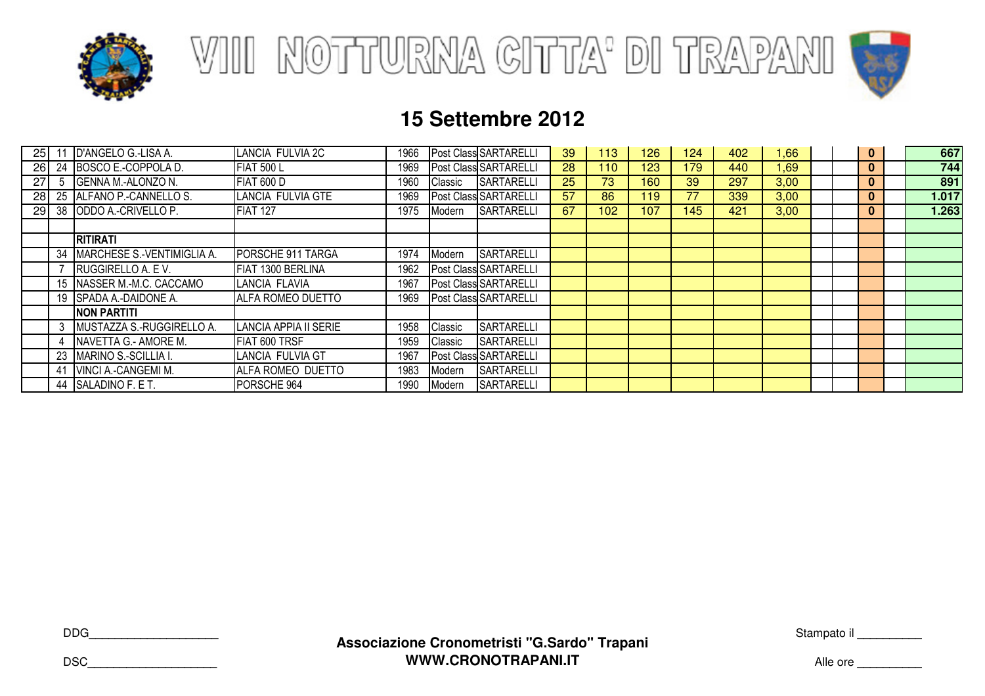





| 25              |    | D'ANGELO G.-LISA A.        | LANCIA FULVIA 2C             | 1966 |         | Post Class SARTARELLI | 39 | 113              | 126 | 124 | 402 | .66  |  | $\mathbf{0}$ | 667   |
|-----------------|----|----------------------------|------------------------------|------|---------|-----------------------|----|------------------|-----|-----|-----|------|--|--------------|-------|
| <b>26</b>       | 24 | BOSCO E.-COPPOLA D.        | <b>FIAT 500 L</b>            | 1969 |         | Post Class SARTARELLI | 28 | 110              | 123 | 179 | 440 | l.69 |  | $\mathbf{0}$ | 744   |
| 27              |    | <b>GENNA M.-ALONZO N.</b>  | <b>FIAT 600 D</b>            | 1960 | Classic | <b>SARTARELLI</b>     | 25 | 73               | 160 | 39  | 297 | 3,00 |  | $\bf{0}$     | 891   |
| 28 <sub>l</sub> | 25 | ALFANO P.-CANNELLO S.      | LANCIA FULVIA GTE            | 1969 |         | Post Class SARTARELLI | 57 | 86               | 119 | 77  | 339 | 3,00 |  | $\bf{0}$     | 1.017 |
| 29I             | 38 | ODDO A.-CRIVELLO P.        | <b>FIAT 127</b>              | 1975 | Modern  | <b>SARTARELLI</b>     | 67 | 102 <sub>2</sub> | 107 | 145 | 421 | 3,00 |  | $\mathbf{0}$ | 1.263 |
|                 |    |                            |                              |      |         |                       |    |                  |     |     |     |      |  |              |       |
|                 |    | <b>RITIRATI</b>            |                              |      |         |                       |    |                  |     |     |     |      |  |              |       |
|                 | 34 | MARCHESE S.-VENTIMIGLIA A. | PORSCHE 911 TARGA            | 1974 | Modern  | SARTARELLI            |    |                  |     |     |     |      |  |              |       |
|                 |    | RUGGIRELLO A. E V.         | FIAT 1300 BERLINA            | 1962 |         | Post Class SARTARELLI |    |                  |     |     |     |      |  |              |       |
|                 | 15 | NASSER M.-M.C. CACCAMO     | LANCIA FLAVIA                | 1967 |         | Post Class SARTARELLI |    |                  |     |     |     |      |  |              |       |
|                 | 19 | <b>SPADA A.-DAIDONE A.</b> | ALFA ROMEO DUETTO            | 1969 |         | Post Class SARTARELLI |    |                  |     |     |     |      |  |              |       |
|                 |    | <b>NON PARTITI</b>         |                              |      |         |                       |    |                  |     |     |     |      |  |              |       |
|                 | 3  | MUSTAZZA S.-RUGGIRELLO A.  | <b>LANCIA APPIA II SERIE</b> | 1958 | Classic | <b>SARTARELLI</b>     |    |                  |     |     |     |      |  |              |       |
|                 | 4  | NAVETTA G.- AMORE M.       | FIAT 600 TRSF                | 1959 | Classic | SARTARELLI            |    |                  |     |     |     |      |  |              |       |
|                 | 23 | MARINO S.-SCILLIA I.       | LANCIA FULVIA GT             | 1967 |         | Post Class SARTARELLI |    |                  |     |     |     |      |  |              |       |
|                 | 41 | VINCI A.-CANGEMI M.        | ALFA ROMEO DUETTO            | 1983 | Modern  | SARTARELLI            |    |                  |     |     |     |      |  |              |       |
|                 | 44 | SALADINO F. E T.           | PORSCHE 964                  | 1990 | Modern  | <b>SARTARELLI</b>     |    |                  |     |     |     |      |  |              |       |

DDG\_\_\_\_\_\_\_\_\_\_\_\_\_\_\_\_\_\_\_\_

DSC\_\_\_\_\_\_\_\_\_\_\_\_\_\_\_\_\_\_\_\_

Stampato il \_\_\_\_\_\_\_\_\_\_\_

Alle ore \_\_\_\_\_\_\_\_\_\_\_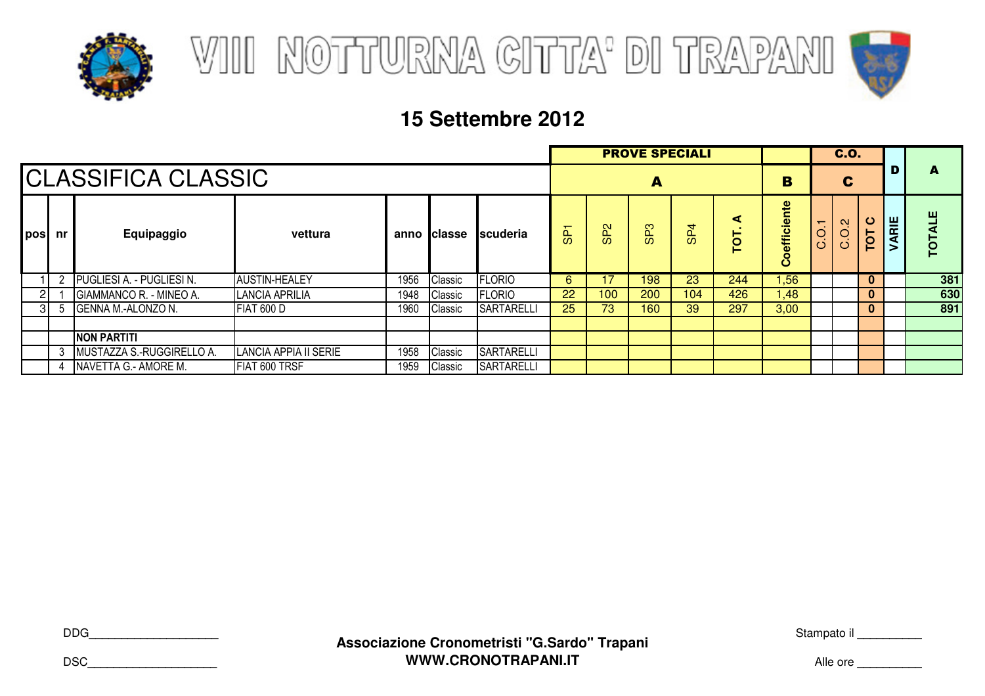





|             |                           |                                  |                       | <b>PROVE SPECIALI</b> |               |                   |                |                 |                 |                 | C.O.            |                           |       |                               |              |      |           |
|-------------|---------------------------|----------------------------------|-----------------------|-----------------------|---------------|-------------------|----------------|-----------------|-----------------|-----------------|-----------------|---------------------------|-------|-------------------------------|--------------|------|-----------|
|             | <b>CLASSIFICA CLASSIC</b> |                                  |                       |                       |               |                   |                |                 | A               |                 |                 |                           |       |                               |              |      | A         |
| <b>posi</b> | nr                        | Equipaggio                       | vettura               | anno                  | <b>Classe</b> | <b>Iscuderia</b>  | $\overline{5}$ | SP <sub>2</sub> | SP <sub>3</sub> | SP <sub>4</sub> | ⋖<br><b>TOT</b> | efficiente<br>$\mathbf c$ | C.0,1 | $\mathbf{\alpha}$<br>.<br>C.O | ပ<br>TOT     | ARIE | 当<br>TOTA |
|             |                           | <b>PUGLIESI A. - PUGLIESI N.</b> | <b>AUSTIN-HEALEY</b>  | 1956                  | Classic       | <b>FLORIO</b>     | 6              |                 | 198             | 23              | 244             | 1,56                      |       |                               | $\mathbf{0}$ |      | 381       |
|             |                           | GIAMMANCO R. - MINEO A.          | LANCIA APRILIA        | 1948                  | Classic       | <b>FLORIO</b>     | 22             | 100             | 200             | 104             | 426             | 1,48                      |       |                               | $\mathbf{0}$ |      | 630       |
|             | -5                        | <b>GENNA M.-ALONZO N.</b>        | <b>FIAT 600 D</b>     | 1960                  | Classic       | <b>SARTARELLI</b> | 25             | 73              | 160             | 39              | 297             | 3,00                      |       |                               | $\mathbf{0}$ |      | 891       |
|             |                           |                                  |                       |                       |               |                   |                |                 |                 |                 |                 |                           |       |                               |              |      |           |
|             |                           | <b>NON PARTITI</b>               |                       |                       |               |                   |                |                 |                 |                 |                 |                           |       |                               |              |      |           |
|             | 3                         | MUSTAZZA S.-RUGGIRELLO A.        | LANCIA APPIA II SERIE | 1958                  | Classic       | <b>SARTARELLI</b> |                |                 |                 |                 |                 |                           |       |                               |              |      |           |
|             |                           | NAVETTA G.- AMORE M.             | FIAT 600 TRSF         | 1959                  | Classic       | <b>SARTARELLI</b> |                |                 |                 |                 |                 |                           |       |                               |              |      |           |

DDG\_\_\_\_\_\_\_\_\_\_\_\_\_\_\_\_\_\_\_\_

DSC\_\_\_\_\_\_\_\_\_\_\_\_\_\_\_\_\_\_\_\_

Stampato il \_\_\_\_\_\_\_\_\_\_\_

Alle ore \_\_\_\_\_\_\_\_\_\_\_\_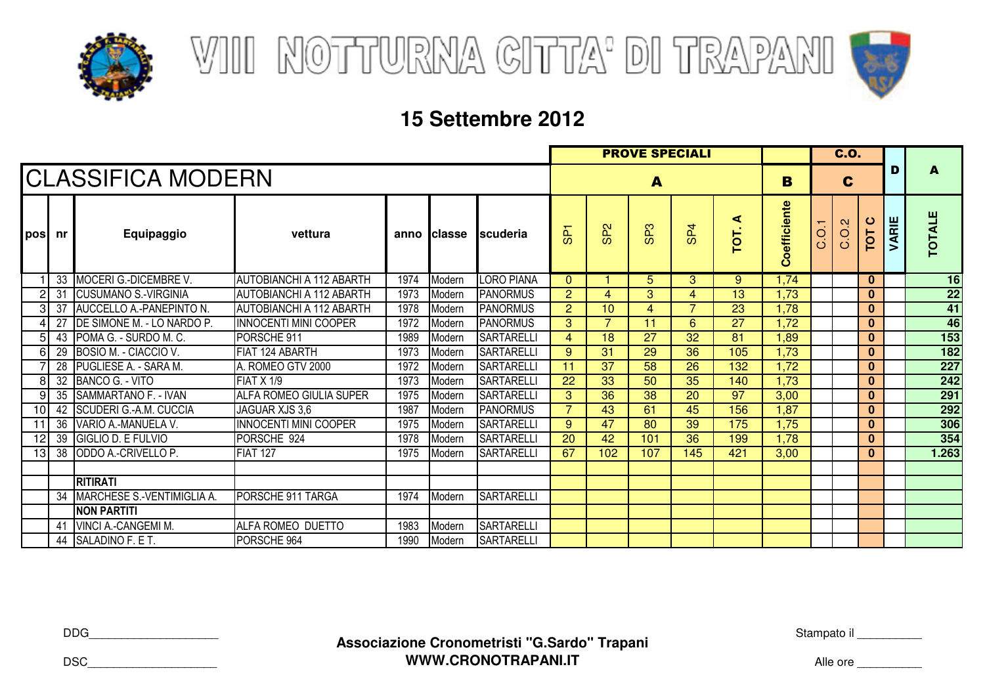



|     |                 |                              |                                 |      |              |                   |                |                 | C.0.            |                 |           |                        |      |       |                 |       |               |
|-----|-----------------|------------------------------|---------------------------------|------|--------------|-------------------|----------------|-----------------|-----------------|-----------------|-----------|------------------------|------|-------|-----------------|-------|---------------|
|     |                 | <b>CLASSIFICA MODERN</b>     |                                 |      | B            | C                 |                | D               | A               |                 |           |                        |      |       |                 |       |               |
| pos | nr              | Equipaggio                   | vettura                         |      | anno Iclasse | <b>Iscuderia</b>  | க்             | SP <sub>2</sub> | SP <sub>3</sub> | SP <sub>4</sub> | ⋖<br>TOT. | oefficiente<br>$\circ$ | C.01 | C.O.2 | ပ<br><b>TOT</b> | VARIE | <b>TOTALE</b> |
|     | 33              | <b>MOCERI G.-DICEMBRE V.</b> | <b>AUTOBIANCHI A 112 ABARTH</b> | 1974 | Modern       | <b>LORO PIANA</b> | $\mathbf{0}$   |                 | 5               | 3               | 9         | 1.74                   |      |       | $\bf{0}$        |       | 16            |
|     | 31              | <b>ICUSUMANO S.-VIRGINIA</b> | <b>AUTOBIANCHI A 112 ABARTH</b> | 1973 | Modern       | <b>PANORMUS</b>   | $\overline{2}$ | 4               | 3               | 4               | 13        | 1,73                   |      |       | $\bf{0}$        |       | 22            |
|     | 37              | AUCCELLO A.-PANEPINTO N.     | <b>AUTOBIANCHI A 112 ABARTH</b> | 1978 | Modern       | <b>PANORMUS</b>   | 2              | 10              | 4               | ⇁               | 23        | 1.78                   |      |       | $\bf{0}$        |       | 41            |
|     | 27              | DE SIMONE M. - LO NARDO P.   | <b>INNOCENTI MINI COOPER</b>    | 1972 | Modern       | <b>PANORMUS</b>   | 3              | 7               | 11              | 6               | 27        | 1,72                   |      |       | $\bf{0}$        |       | 46            |
| 5   | 43              | POMA G. - SURDO M. C.        | PORSCHE 911                     | 1989 | Modern       | <b>SARTARELLI</b> | 4              | 18              | 27              | 32              | 81        | 1,89                   |      |       | $\bf{0}$        |       | 153           |
| 6   | 29              | BOSIO M. - CIACCIO V.        | FIAT 124 ABARTH                 | 1973 | Modern       | <b>SARTARELLI</b> | 9              | 31              | 29              | 36              | 105       | 1,73                   |      |       | $\bf{0}$        |       | 182           |
|     | 28              | PUGLIESE A. - SARA M.        | A. ROMEO GTV 2000               | 1972 | Modern       | <b>SARTARELLI</b> | 11             | 37              | 58              | 26              | 132       | 1,72                   |      |       | $\bf{0}$        |       | 227           |
| 8   | 32              | BANCO G. - VITO              | <b>FIAT X 1/9</b>               | 1973 | Modern       | <b>SARTARELLI</b> | 22             | 33              | 50              | 35              | 140       | 1,73                   |      |       | $\bf{0}$        |       | 242           |
| 9   | 35              | SAMMARTANO F. - IVAN         | ALFA ROMEO GIULIA SUPER         | 1975 | Modern       | <b>SARTARELLI</b> | 3              | 36              | 38              | 20              | 97        | 3,00                   |      |       | $\bf{0}$        |       | 291           |
| 10  | 42              | SCUDERI G.-A.M. CUCCIA       | JAGUAR XJS 3.6                  | 1987 | Modern       | <b>PANORMUS</b>   | $\overline{7}$ | 43              | 61              | 45              | 156       | 1,87                   |      |       | $\bf{0}$        |       | 292           |
| 11  | 36              | VARIO A.-MANUELA V.          | <b>INNOCENTI MINI COOPER</b>    | 1975 | Modern       | <b>SARTARELLI</b> | 9              | 47              | 80              | 39              | 175       | 1,75                   |      |       | $\bf{0}$        |       | 306           |
| 12  | 39              | <b>GIGLIO D. E FULVIO</b>    | PORSCHE 924                     | 1978 | Modern       | <b>SARTARELLI</b> | 20             | 42              | 101             | 36              | 199       | 1.78                   |      |       | $\bf{0}$        |       | 354           |
| 13  | $\overline{38}$ | ODDO A.-CRIVELLO P.          | <b>FIAT 127</b>                 | 1975 | Modern       | <b>SARTARELLI</b> | 67             | 102             | 107             | 145             | 421       | 3,00                   |      |       | $\bf{0}$        |       | 1.263         |
|     |                 |                              |                                 |      |              |                   |                |                 |                 |                 |           |                        |      |       |                 |       |               |
|     |                 | <b>RITIRATI</b>              |                                 |      |              |                   |                |                 |                 |                 |           |                        |      |       |                 |       |               |
|     | 34              | MARCHESE S.-VENTIMIGLIA A.   | PORSCHE 911 TARGA               | 1974 | Modern       | <b>SARTARELLI</b> |                |                 |                 |                 |           |                        |      |       |                 |       |               |
|     |                 | <b>NON PARTITI</b>           |                                 |      |              |                   |                |                 |                 |                 |           |                        |      |       |                 |       |               |
|     | 41              | VINCI A.-CANGEMI M.          | ALFA ROMEO DUETTO               | 1983 | Modern       | <b>SARTARELLI</b> |                |                 |                 |                 |           |                        |      |       |                 |       |               |
|     | 44              | SALADINO F. E T.             | PORSCHE 964                     | 1990 | Modern       | <b>SARTARELLI</b> |                |                 |                 |                 |           |                        |      |       |                 |       |               |

DDG\_\_\_\_\_\_\_\_\_\_\_\_\_\_\_\_\_\_\_\_

DSC\_\_\_\_\_\_\_\_\_\_\_\_\_\_\_\_\_\_\_\_

Stampato il \_\_\_\_\_\_\_\_\_\_\_

Alle ore \_\_\_\_\_\_\_\_\_\_\_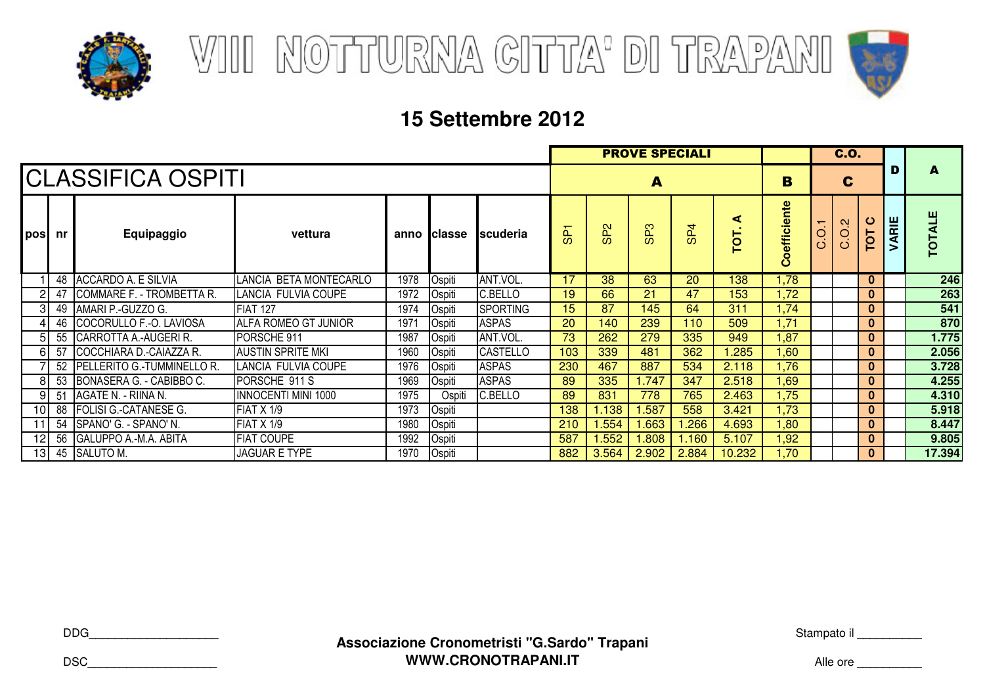



|                 |    |                              |                          |      |              | <b>C.O.</b>     |     |                 |                   |                 |           |                 |                                     |       |              |       |               |
|-----------------|----|------------------------------|--------------------------|------|--------------|-----------------|-----|-----------------|-------------------|-----------------|-----------|-----------------|-------------------------------------|-------|--------------|-------|---------------|
|                 |    | <b>CLASSIFICA OSPITI</b>     |                          |      | B            |                 | C   |                 |                   | A               |           |                 |                                     |       |              |       |               |
| pos             | nr | Equipaggio                   | vettura                  |      | anno Iclasse | Iscuderia       | င္တ | SP <sub>2</sub> | ຕ<br>$\mathbf{a}$ | SP <sub>4</sub> | ⋖<br>TOT. | efficiente<br>ပ | $\overline{\phantom{0}}$<br>O.<br>Ö | C.O.2 | TOT C        | VARIE | <b>TOTALE</b> |
|                 | 48 | ACCARDO A. E SILVIA          | LANCIA BETA MONTECARLO   | 1978 | Ospiti       | ANT.VOL.        | 17  | 38              | 63                | 20              | 138       | 1,78            |                                     |       | $\mathbf{0}$ |       | 246           |
|                 | 47 | COMMARE F. - TROMBETTA R.    | LANCIA FULVIA COUPE      | 1972 | Ospiti       | C.BELLO         | 19  | 66              | 21                | 47              | 153       | 1,72            |                                     |       | $\bf{0}$     |       | 263           |
|                 | 49 | AMARI P.-GUZZO G.            | <b>FIAT 127</b>          | 1974 | Ospiti       | <b>SPORTING</b> | 15  | 87              | 145               | 64              | 311       | 1,74            |                                     |       | $\mathbf{0}$ |       | 541           |
|                 | 46 | COCORULLO F.-O. LAVIOSA      | ALFA ROMEO GT JUNIOR     | 1971 | Ospiti       | <b>ASPAS</b>    | 20  | 140             | 239               | 110             | 509       | 1,71            |                                     |       | $\bf{0}$     |       | 870           |
|                 |    | 55 CARROTTA A.-AUGERIR.      | PORSCHE 911              | 1987 | Ospiti       | ANT.VOL.        | 73  | 262             | 279               | 335             | 949       | 1,87            |                                     |       | $\mathbf{0}$ |       | 1.775         |
| 61              | 57 | COCCHIARA D.-CAIAZZA R.      | <b>AUSTIN SPRITE MKI</b> | 1960 | Ospiti       | <b>CASTELLO</b> | 103 | 339             | 481               | 362             | .285      | .60             |                                     |       | 0            |       | 2.056         |
|                 | 52 | PELLERITO G.-TUMMINELLO R.   | LANCIA FULVIA COUPE      | 1976 | Ospiti       | <b>ASPAS</b>    | 230 | 467             | 887               | 534             | 2.118     | 1,76            |                                     |       | $\mathbf{0}$ |       | 3.728         |
| 81              | 53 | BONASERA G. - CABIBBO C.     | PORSCHE 911 S            | 1969 | Ospiti       | <b>ASPAS</b>    | 89  | 335             | 1.747             | 347             | 2.518     | 1,69            |                                     |       | $\mathbf{0}$ |       | 4.255         |
| 9               | 51 | AGATE N. - RIINA N.          | INNOCENTI MINI 1000      | 1975 | Ospiti       | C.BELLO         | 89  | 831             | 778               | 765             | 2.463     | 1,75            |                                     |       | $\bf{0}$     |       | 4.310         |
| 10I             | 88 | <b>FOLISI G.-CATANESE G.</b> | FIAT X 1/9               | 1973 | Ospiti       |                 | 138 | 1.138           | .587              | 558             | 3.421     | 1,73            |                                     |       | $\mathbf{0}$ |       | 5.918         |
| 11              | 54 | SPANO' G. - SPANO' N.        | FIAT X 1/9               | 1980 | Ospiti       |                 | 210 | 1.554           | .663              | .266            | 4.693     | 1,80            |                                     |       | $\bf{0}$     |       | 8.447         |
| 12              | 56 | <b>GALUPPO A.-M.A. ABITA</b> | <b>FIAT COUPE</b>        | 1992 | Ospiti       |                 | 587 | .552            | .808              | .160            | 5.107     | 1,92            |                                     |       | $\mathbf{0}$ |       | 9.805         |
| 13 <sub>l</sub> | 45 | SALUTO M.                    | <b>JAGUAR E TYPE</b>     | 1970 | Ospiti       |                 | 882 | 3.564           | 2.902             | 2.884           | 10.232    | 1,70            |                                     |       | $\mathbf{0}$ |       | 17.394        |

DDG\_\_\_\_\_\_\_\_\_\_\_\_\_\_\_\_\_\_\_\_

Stampato il \_\_\_\_\_\_\_\_\_\_\_

Alle ore \_\_\_\_\_\_\_\_\_\_\_

DSC\_\_\_\_\_\_\_\_\_\_\_\_\_\_\_\_\_\_\_\_